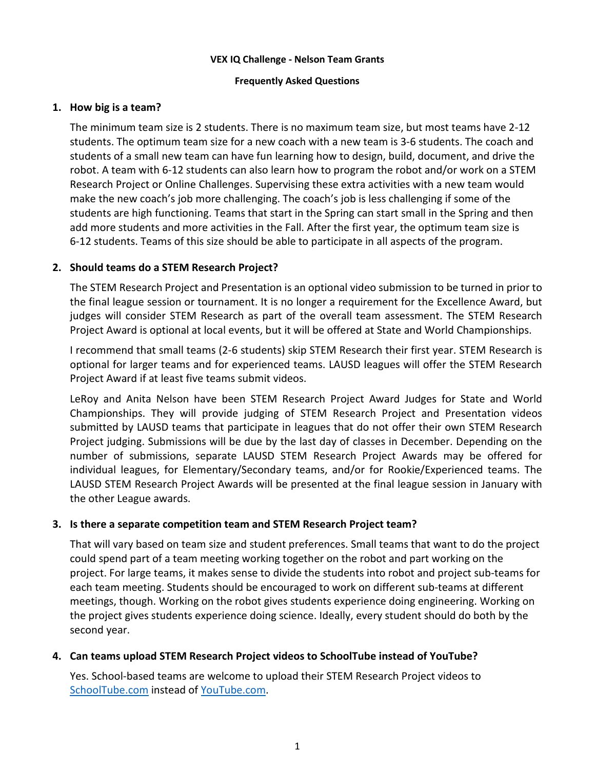#### **VEX IQ Challenge - Nelson Team Grants**

#### **Frequently Asked Questions**

### **1. How big is a team?**

The minimum team size is 2 students. There is no maximum team size, but most teams have 2-12 students. The optimum team size for a new coach with a new team is 3-6 students. The coach and students of a small new team can have fun learning how to design, build, document, and drive the robot. A team with 6-12 students can also learn how to program the robot and/or work on a STEM Research Project or Online Challenges. Supervising these extra activities with a new team would make the new coach's job more challenging. The coach's job is less challenging if some of the students are high functioning. Teams that start in the Spring can start small in the Spring and then add more students and more activities in the Fall. After the first year, the optimum team size is 6-12 students. Teams of this size should be able to participate in all aspects of the program.

## **2. Should teams do a STEM Research Project?**

The STEM Research Project and Presentation is an optional video submission to be turned in prior to the final league session or tournament. It is no longer a requirement for the Excellence Award, but judges will consider STEM Research as part of the overall team assessment. The STEM Research Project Award is optional at local events, but it will be offered at State and World Championships.

I recommend that small teams (2-6 students) skip STEM Research their first year. STEM Research is optional for larger teams and for experienced teams. LAUSD leagues will offer the STEM Research Project Award if at least five teams submit videos.

LeRoy and Anita Nelson have been STEM Research Project Award Judges for State and World Championships. They will provide judging of STEM Research Project and Presentation videos submitted by LAUSD teams that participate in leagues that do not offer their own STEM Research Project judging. Submissions will be due by the last day of classes in December. Depending on the number of submissions, separate LAUSD STEM Research Project Awards may be offered for individual leagues, for Elementary/Secondary teams, and/or for Rookie/Experienced teams. The LAUSD STEM Research Project Awards will be presented at the final league session in January with the other League awards.

### **3. Is there a separate competition team and STEM Research Project team?**

That will vary based on team size and student preferences. Small teams that want to do the project could spend part of a team meeting working together on the robot and part working on the project. For large teams, it makes sense to divide the students into robot and project sub-teams for each team meeting. Students should be encouraged to work on different sub-teams at different meetings, though. Working on the robot gives students experience doing engineering. Working on the project gives students experience doing science. Ideally, every student should do both by the second year.

### **4. Can teams upload STEM Research Project videos to SchoolTube instead of YouTube?**

Yes. School-based teams are welcome to upload their STEM Research Project videos to SchoolTube.com instead of YouTube.com.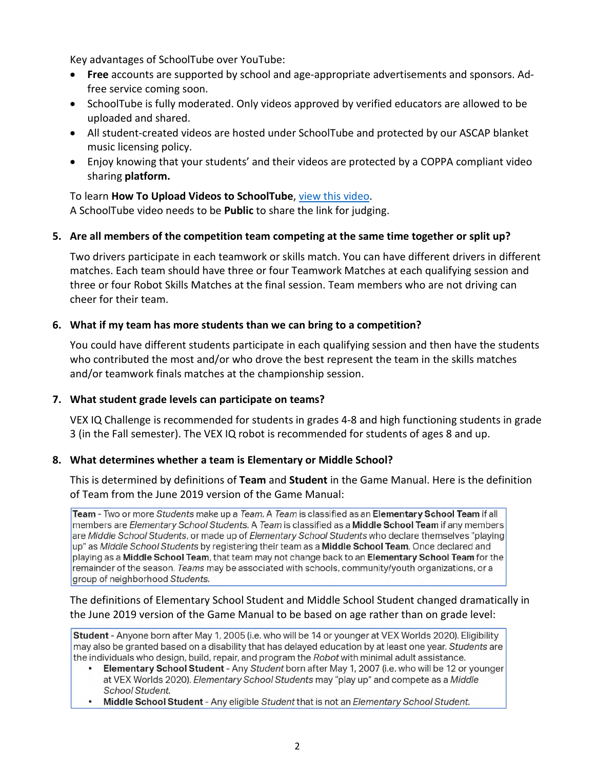Key advantages of SchoolTube over YouTube:

- **Free** accounts are supported by school and age-appropriate advertisements and sponsors. Adfree service coming soon.
- SchoolTube is fully moderated. Only videos approved by verified educators are allowed to be uploaded and shared.
- All student-created videos are hosted under SchoolTube and protected by our ASCAP blanket music licensing policy.
- Enjoy knowing that your students' and their videos are protected by a COPPA compliant video sharing **platform.**

## To learn **How To Upload Videos to SchoolTube**, view this video.

A SchoolTube video needs to be **Public** to share the link for judging.

## **5. Are all members of the competition team competing at the same time together or split up?**

Two drivers participate in each teamwork or skills match. You can have different drivers in different matches. Each team should have three or four Teamwork Matches at each qualifying session and three or four Robot Skills Matches at the final session. Team members who are not driving can cheer for their team.

## **6. What if my team has more students than we can bring to a competition?**

You could have different students participate in each qualifying session and then have the students who contributed the most and/or who drove the best represent the team in the skills matches and/or teamwork finals matches at the championship session.

### **7. What student grade levels can participate on teams?**

VEX IQ Challenge is recommended for students in grades 4-8 and high functioning students in grade 3 (in the Fall semester). The VEX IQ robot is recommended for students of ages 8 and up.

### **8. What determines whether a team is Elementary or Middle School?**

This is determined by definitions of **Team** and **Student** in the Game Manual. Here is the definition of Team from the June 2019 version of the Game Manual:

Team - Two or more Students make up a Team. A Team is classified as an Elementary School Team if all members are Elementary School Students. A Team is classified as a Middle School Team if any members are Middle School Students, or made up of Elementary School Students who declare themselves "playing up" as Middle School Students by registering their team as a Middle School Team. Once declared and playing as a Middle School Team, that team may not change back to an Elementary School Team for the remainder of the season. Teams may be associated with schools, community/youth organizations, or a group of neighborhood Students.

## The definitions of Elementary School Student and Middle School Student changed dramatically in the June 2019 version of the Game Manual to be based on age rather than on grade level:

Student - Anyone born after May 1, 2005 (i.e. who will be 14 or younger at VEX Worlds 2020). Eligibility may also be granted based on a disability that has delayed education by at least one year. Students are the individuals who design, build, repair, and program the Robot with minimal adult assistance.

- Elementary School Student Any Student born after May 1, 2007 (i.e. who will be 12 or younger at VEX Worlds 2020). Elementary School Students may "play up" and compete as a Middle School Student.
- Middle School Student Any eligible Student that is not an Elementary School Student.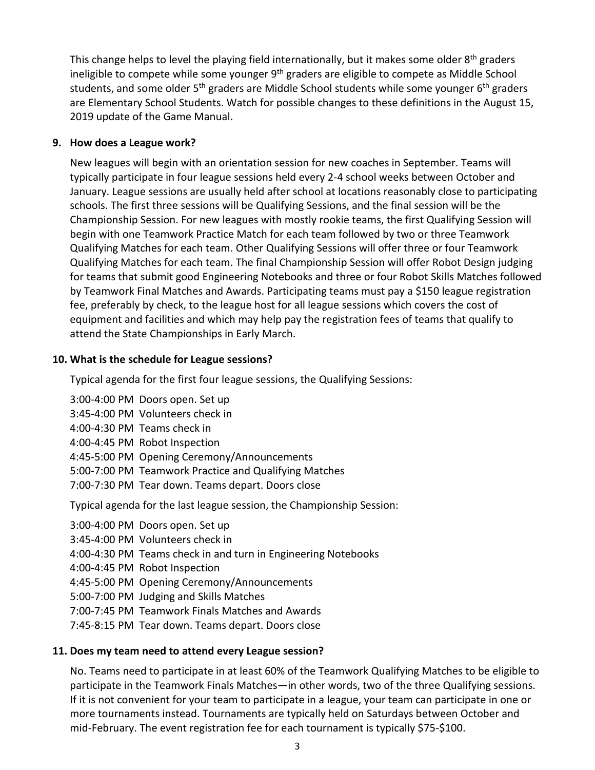This change helps to level the playing field internationally, but it makes some older 8<sup>th</sup> graders ineligible to compete while some younger  $9<sup>th</sup>$  graders are eligible to compete as Middle School students, and some older 5<sup>th</sup> graders are Middle School students while some younger 6<sup>th</sup> graders are Elementary School Students. Watch for possible changes to these definitions in the August 15, 2019 update of the Game Manual.

## **9. How does a League work?**

New leagues will begin with an orientation session for new coaches in September. Teams will typically participate in four league sessions held every 2-4 school weeks between October and January. League sessions are usually held after school at locations reasonably close to participating schools. The first three sessions will be Qualifying Sessions, and the final session will be the Championship Session. For new leagues with mostly rookie teams, the first Qualifying Session will begin with one Teamwork Practice Match for each team followed by two or three Teamwork Qualifying Matches for each team. Other Qualifying Sessions will offer three or four Teamwork Qualifying Matches for each team. The final Championship Session will offer Robot Design judging for teams that submit good Engineering Notebooks and three or four Robot Skills Matches followed by Teamwork Final Matches and Awards. Participating teams must pay a \$150 league registration fee, preferably by check, to the league host for all league sessions which covers the cost of equipment and facilities and which may help pay the registration fees of teams that qualify to attend the State Championships in Early March.

## **10. What is the schedule for League sessions?**

Typical agenda for the first four league sessions, the Qualifying Sessions:

- 3:00-4:00 PM Doors open. Set up
- 3:45-4:00 PM Volunteers check in
- 4:00-4:30 PM Teams check in
- 4:00-4:45 PM Robot Inspection
- 4:45-5:00 PM Opening Ceremony/Announcements
- 5:00-7:00 PM Teamwork Practice and Qualifying Matches
- 7:00-7:30 PM Tear down. Teams depart. Doors close

Typical agenda for the last league session, the Championship Session:

- 3:00-4:00 PM Doors open. Set up
- 3:45-4:00 PM Volunteers check in
- 4:00-4:30 PM Teams check in and turn in Engineering Notebooks
- 4:00-4:45 PM Robot Inspection
- 4:45-5:00 PM Opening Ceremony/Announcements
- 5:00-7:00 PM Judging and Skills Matches
- 7:00-7:45 PM Teamwork Finals Matches and Awards
- 7:45-8:15 PM Tear down. Teams depart. Doors close

## **11. Does my team need to attend every League session?**

No. Teams need to participate in at least 60% of the Teamwork Qualifying Matches to be eligible to participate in the Teamwork Finals Matches—in other words, two of the three Qualifying sessions. If it is not convenient for your team to participate in a league, your team can participate in one or more tournaments instead. Tournaments are typically held on Saturdays between October and mid-February. The event registration fee for each tournament is typically \$75-\$100.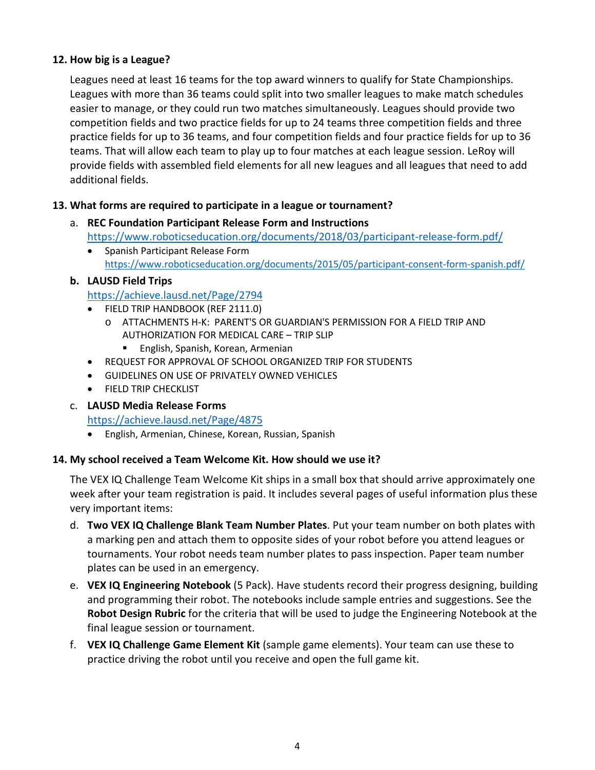## **12. How big is a League?**

Leagues need at least 16 teams for the top award winners to qualify for State Championships. Leagues with more than 36 teams could split into two smaller leagues to make match schedules easier to manage, or they could run two matches simultaneously. Leagues should provide two competition fields and two practice fields for up to 24 teams three competition fields and three practice fields for up to 36 teams, and four competition fields and four practice fields for up to 36 teams. That will allow each team to play up to four matches at each league session. LeRoy will provide fields with assembled field elements for all new leagues and all leagues that need to add additional fields.

## **13. What forms are required to participate in a league or tournament?**

- a. **REC Foundation Participant Release Form and Instructions**  https://www.roboticseducation.org/documents/2018/03/participant-release-form.pdf/
	- Spanish Participant Release Form https://www.roboticseducation.org/documents/2015/05/participant-consent-form-spanish.pdf/

## **b. LAUSD Field Trips**

https://achieve.lausd.net/Page/2794

- **•** FIELD TRIP HANDBOOK (REF 2111.0)
	- o ATTACHMENTS H-K: PARENT'S OR GUARDIAN'S PERMISSION FOR A FIELD TRIP AND AUTHORIZATION FOR MEDICAL CARE – TRIP SLIP
		- **English, Spanish, Korean, Armenian**
- REQUEST FOR APPROVAL OF SCHOOL ORGANIZED TRIP FOR STUDENTS
- GUIDELINES ON USE OF PRIVATELY OWNED VEHICLES
- **•** FIELD TRIP CHECKLIST

### c. **LAUSD Media Release Forms**

https://achieve.lausd.net/Page/4875

English, Armenian, Chinese, Korean, Russian, Spanish

### **14. My school received a Team Welcome Kit. How should we use it?**

The VEX IQ Challenge Team Welcome Kit ships in a small box that should arrive approximately one week after your team registration is paid. It includes several pages of useful information plus these very important items:

- d. **Two VEX IQ Challenge Blank Team Number Plates**. Put your team number on both plates with a marking pen and attach them to opposite sides of your robot before you attend leagues or tournaments. Your robot needs team number plates to pass inspection. Paper team number plates can be used in an emergency.
- e. **VEX IQ Engineering Notebook** (5 Pack). Have students record their progress designing, building and programming their robot. The notebooks include sample entries and suggestions. See the **Robot Design Rubric** for the criteria that will be used to judge the Engineering Notebook at the final league session or tournament.
- f. **VEX IQ Challenge Game Element Kit** (sample game elements). Your team can use these to practice driving the robot until you receive and open the full game kit.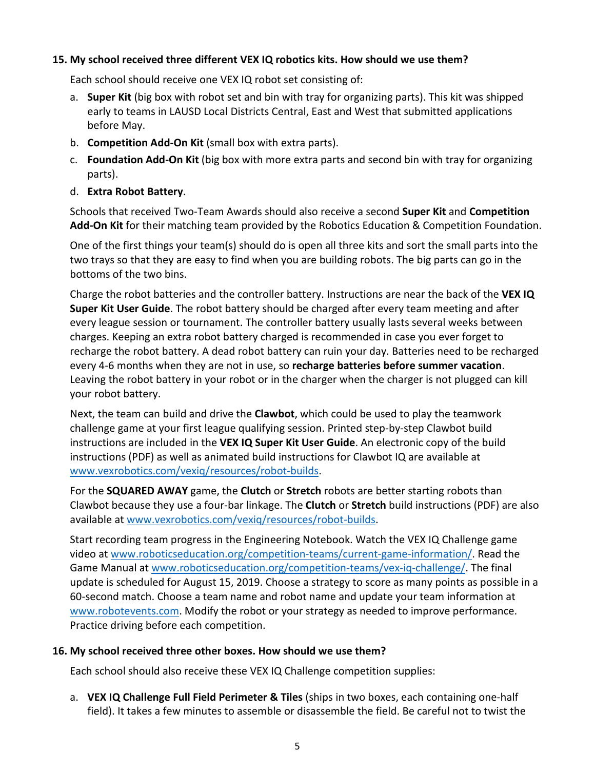## **15. My school received three different VEX IQ robotics kits. How should we use them?**

Each school should receive one VEX IQ robot set consisting of:

- a. **Super Kit** (big box with robot set and bin with tray for organizing parts). This kit was shipped early to teams in LAUSD Local Districts Central, East and West that submitted applications before May.
- b. **Competition Add-On Kit** (small box with extra parts).
- c. **Foundation Add-On Kit** (big box with more extra parts and second bin with tray for organizing parts).
- d. **Extra Robot Battery**.

Schools that received Two-Team Awards should also receive a second **Super Kit** and **Competition Add-On Kit** for their matching team provided by the Robotics Education & Competition Foundation.

One of the first things your team(s) should do is open all three kits and sort the small parts into the two trays so that they are easy to find when you are building robots. The big parts can go in the bottoms of the two bins.

Charge the robot batteries and the controller battery. Instructions are near the back of the **VEX IQ Super Kit User Guide**. The robot battery should be charged after every team meeting and after every league session or tournament. The controller battery usually lasts several weeks between charges. Keeping an extra robot battery charged is recommended in case you ever forget to recharge the robot battery. A dead robot battery can ruin your day. Batteries need to be recharged every 4-6 months when they are not in use, so **recharge batteries before summer vacation**. Leaving the robot battery in your robot or in the charger when the charger is not plugged can kill your robot battery.

Next, the team can build and drive the **Clawbot**, which could be used to play the teamwork challenge game at your first league qualifying session. Printed step-by-step Clawbot build instructions are included in the **VEX IQ Super Kit User Guide**. An electronic copy of the build instructions (PDF) as well as animated build instructions for Clawbot IQ are available at www.vexrobotics.com/vexiq/resources/robot-builds.

For the **SQUARED AWAY** game, the **Clutch** or **Stretch** robots are better starting robots than Clawbot because they use a four-bar linkage. The **Clutch** or **Stretch** build instructions (PDF) are also available at www.vexrobotics.com/vexiq/resources/robot-builds.

Start recording team progress in the Engineering Notebook. Watch the VEX IQ Challenge game video at www.roboticseducation.org/competition-teams/current-game-information/. Read the Game Manual at www.roboticseducation.org/competition-teams/vex-iq-challenge/. The final update is scheduled for August 15, 2019. Choose a strategy to score as many points as possible in a 60-second match. Choose a team name and robot name and update your team information at www.robotevents.com. Modify the robot or your strategy as needed to improve performance. Practice driving before each competition.

## **16. My school received three other boxes. How should we use them?**

Each school should also receive these VEX IQ Challenge competition supplies:

a. **VEX IQ Challenge Full Field Perimeter & Tiles** (ships in two boxes, each containing one-half field). It takes a few minutes to assemble or disassemble the field. Be careful not to twist the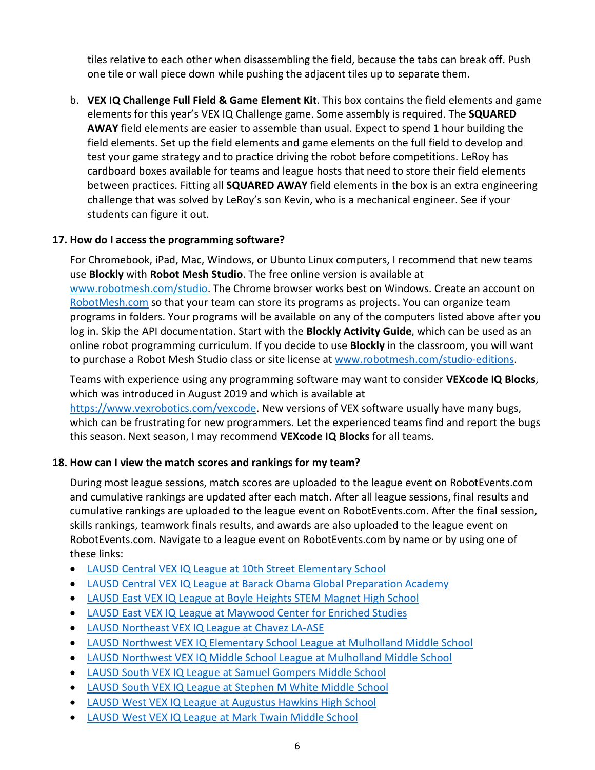tiles relative to each other when disassembling the field, because the tabs can break off. Push one tile or wall piece down while pushing the adjacent tiles up to separate them.

b. **VEX IQ Challenge Full Field & Game Element Kit**. This box contains the field elements and game elements for this year's VEX IQ Challenge game. Some assembly is required. The **SQUARED AWAY** field elements are easier to assemble than usual. Expect to spend 1 hour building the field elements. Set up the field elements and game elements on the full field to develop and test your game strategy and to practice driving the robot before competitions. LeRoy has cardboard boxes available for teams and league hosts that need to store their field elements between practices. Fitting all **SQUARED AWAY** field elements in the box is an extra engineering challenge that was solved by LeRoy's son Kevin, who is a mechanical engineer. See if your students can figure it out.

# **17. How do I access the programming software?**

For Chromebook, iPad, Mac, Windows, or Ubunto Linux computers, I recommend that new teams use **Blockly** with **Robot Mesh Studio**. The free online version is available at www.robotmesh.com/studio. The Chrome browser works best on Windows. Create an account on RobotMesh.com so that your team can store its programs as projects. You can organize team programs in folders. Your programs will be available on any of the computers listed above after you log in. Skip the API documentation. Start with the **Blockly Activity Guide**, which can be used as an online robot programming curriculum. If you decide to use **Blockly** in the classroom, you will want to purchase a Robot Mesh Studio class or site license at www.robotmesh.com/studio-editions.

Teams with experience using any programming software may want to consider **VEXcode IQ Blocks**, which was introduced in August 2019 and which is available at https://www.vexrobotics.com/vexcode. New versions of VEX software usually have many bugs, which can be frustrating for new programmers. Let the experienced teams find and report the bugs this season. Next season, I may recommend **VEXcode IQ Blocks** for all teams.

# **18. How can I view the match scores and rankings for my team?**

During most league sessions, match scores are uploaded to the league event on RobotEvents.com and cumulative rankings are updated after each match. After all league sessions, final results and cumulative rankings are uploaded to the league event on RobotEvents.com. After the final session, skills rankings, teamwork finals results, and awards are also uploaded to the league event on RobotEvents.com. Navigate to a league event on RobotEvents.com by name or by using one of these links:

- LAUSD Central VEX IQ League at 10th Street Elementary School
- LAUSD Central VEX IQ League at Barack Obama Global Preparation Academy
- LAUSD East VEX IQ League at Boyle Heights STEM Magnet High School
- LAUSD East VEX IQ League at Maywood Center for Enriched Studies
- LAUSD Northeast VEX IQ League at Chavez LA-ASE
- LAUSD Northwest VEX IQ Elementary School League at Mulholland Middle School
- LAUSD Northwest VEX IQ Middle School League at Mulholland Middle School
- LAUSD South VEX IQ League at Samuel Gompers Middle School
- LAUSD South VEX IQ League at Stephen M White Middle School
- LAUSD West VEX IQ League at Augustus Hawkins High School
- LAUSD West VEX IQ League at Mark Twain Middle School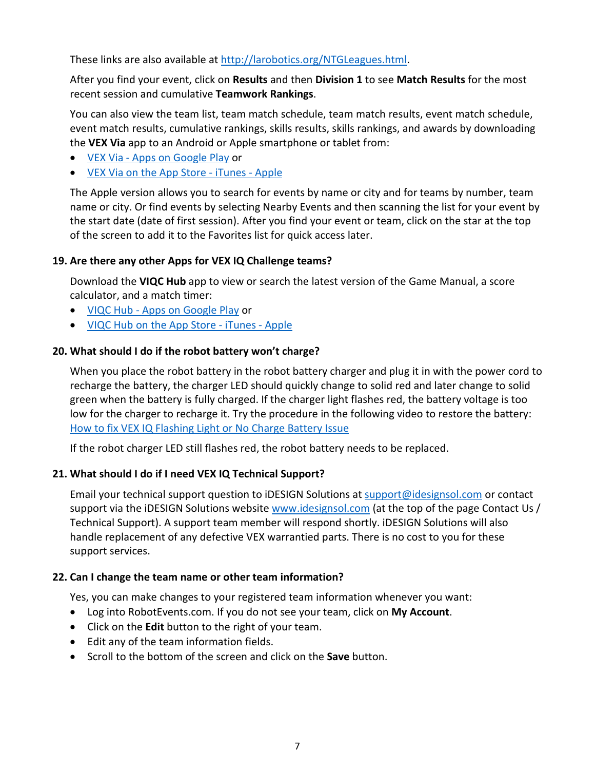These links are also available at http://larobotics.org/NTGLeagues.html.

After you find your event, click on **Results** and then **Division 1** to see **Match Results** for the most recent session and cumulative **Teamwork Rankings**.

You can also view the team list, team match schedule, team match results, event match schedule, event match results, cumulative rankings, skills results, skills rankings, and awards by downloading the **VEX Via** app to an Android or Apple smartphone or tablet from:

- VEX Via Apps on Google Play or
- VEX Via on the App Store iTunes Apple

The Apple version allows you to search for events by name or city and for teams by number, team name or city. Or find events by selecting Nearby Events and then scanning the list for your event by the start date (date of first session). After you find your event or team, click on the star at the top of the screen to add it to the Favorites list for quick access later.

## **19. Are there any other Apps for VEX IQ Challenge teams?**

Download the **VIQC Hub** app to view or search the latest version of the Game Manual, a score calculator, and a match timer:

- VIQC Hub Apps on Google Play or
- VIQC Hub on the App Store iTunes Apple

### **20. What should I do if the robot battery won't charge?**

When you place the robot battery in the robot battery charger and plug it in with the power cord to recharge the battery, the charger LED should quickly change to solid red and later change to solid green when the battery is fully charged. If the charger light flashes red, the battery voltage is too low for the charger to recharge it. Try the procedure in the following video to restore the battery: How to fix VEX IQ Flashing Light or No Charge Battery Issue

If the robot charger LED still flashes red, the robot battery needs to be replaced.

### **21. What should I do if I need VEX IQ Technical Support?**

Email your technical support question to iDESIGN Solutions at support@idesignsol.com or contact support via the iDESIGN Solutions website www.idesignsol.com (at the top of the page Contact Us / Technical Support). A support team member will respond shortly. iDESIGN Solutions will also handle replacement of any defective VEX warrantied parts. There is no cost to you for these support services.

### **22. Can I change the team name or other team information?**

Yes, you can make changes to your registered team information whenever you want:

- Log into RobotEvents.com. If you do not see your team, click on **My Account**.
- Click on the **Edit** button to the right of your team.
- Edit any of the team information fields.
- **Scroll to the bottom of the screen and click on the Save button.**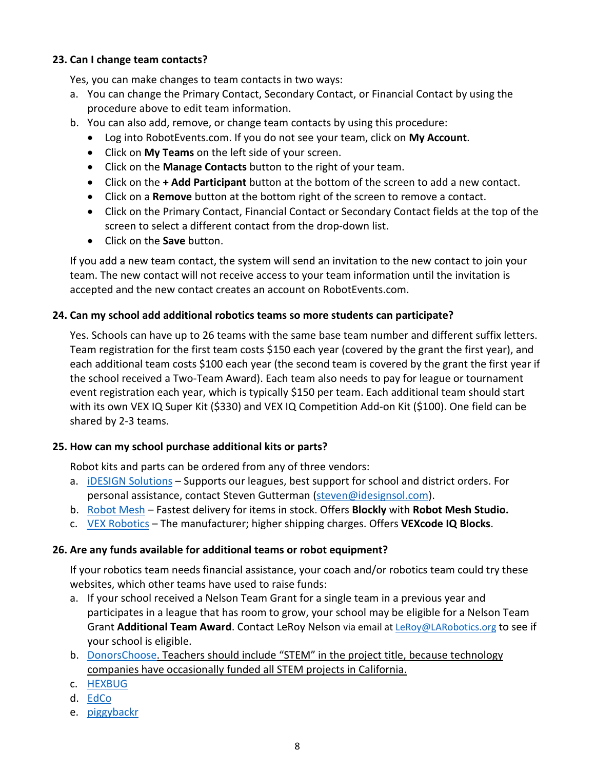## **23. Can I change team contacts?**

Yes, you can make changes to team contacts in two ways:

- a. You can change the Primary Contact, Secondary Contact, or Financial Contact by using the procedure above to edit team information.
- b. You can also add, remove, or change team contacts by using this procedure:
	- Log into RobotEvents.com. If you do not see your team, click on **My Account**.
	- Click on **My Teams** on the left side of your screen.
	- Click on the **Manage Contacts** button to the right of your team.
	- Click on the **+ Add Participant** button at the bottom of the screen to add a new contact.
	- Click on a **Remove** button at the bottom right of the screen to remove a contact.
	- Click on the Primary Contact, Financial Contact or Secondary Contact fields at the top of the screen to select a different contact from the drop-down list.
	- Click on the **Save** button.

If you add a new team contact, the system will send an invitation to the new contact to join your team. The new contact will not receive access to your team information until the invitation is accepted and the new contact creates an account on RobotEvents.com.

### **24. Can my school add additional robotics teams so more students can participate?**

Yes. Schools can have up to 26 teams with the same base team number and different suffix letters. Team registration for the first team costs \$150 each year (covered by the grant the first year), and each additional team costs \$100 each year (the second team is covered by the grant the first year if the school received a Two-Team Award). Each team also needs to pay for league or tournament event registration each year, which is typically \$150 per team. Each additional team should start with its own VEX IQ Super Kit (\$330) and VEX IQ Competition Add-on Kit (\$100). One field can be shared by 2-3 teams.

### **25. How can my school purchase additional kits or parts?**

Robot kits and parts can be ordered from any of three vendors:

- a. **iDESIGN Solutions** Supports our leagues, best support for school and district orders. For personal assistance, contact Steven Gutterman (steven@idesignsol.com).
- b. Robot Mesh Fastest delivery for items in stock. Offers **Blockly** with **Robot Mesh Studio.**
- c. VEX Robotics The manufacturer; higher shipping charges. Offers **VEXcode IQ Blocks**.

### **26. Are any funds available for additional teams or robot equipment?**

If your robotics team needs financial assistance, your coach and/or robotics team could try these websites, which other teams have used to raise funds:

- a. If your school received a Nelson Team Grant for a single team in a previous year and participates in a league that has room to grow, your school may be eligible for a Nelson Team Grant **Additional Team Award**. Contact LeRoy Nelson via email at LeRoy@LARobotics.org to see if your school is eligible.
- b. DonorsChoose. Teachers should include "STEM" in the project title, because technology companies have occasionally funded all STEM projects in California.
- c. HEXBUG
- d. EdCo
- e. piggybackr